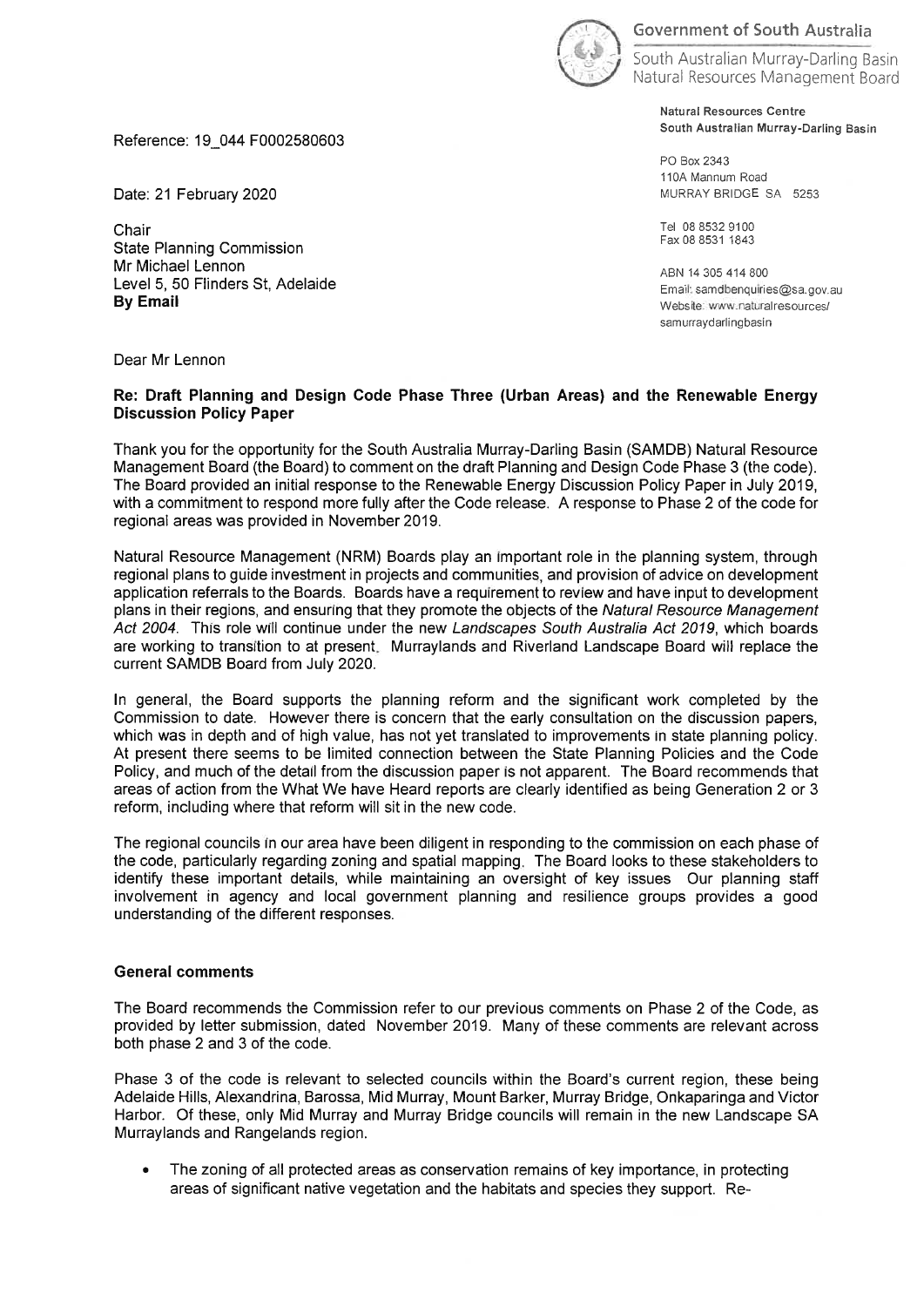

Government of South Australia

South Australian Murrey-Darling Basin Natural Resources Management Board

> Natural Resources Centre South Australian Murrey-Darling Basin

PO Box 2343 110A Mannum Road MURRAY BRIDGE SA 5253

Tel 0885329100 Fax 088531 1843

ABN 14305-414-800 Email: samdbenquiries@sa.gov.au Website: www.naturalresources/ samurraydarlingbasin

Reference: 19 044 F0002580603

Date: 21 February 2020

Chair State Planning Commission Mr Michael Lennon Level 5, 50 Flinders St, Adelaide By Email

Dear Mr Lennon

## Re: Draft Planning and Design Code Phase Three (Urban Areas) and the Renewable Energy Discussion Policy Paper

Thank you for the opportunity for the South Australia Murray-Darling Basin (SAMDB) Natural Resource Management Board (the Board) to comment on the draft Planning and Design Code Phase 3 (the code) The Board provided an initial response to the Renewable Energy Discussion Policy Paper in July 2019, with a commitment to respond more fully after the Code release. A response to Phase 2 of the code for regional areas was provided in November 2019

Natural Resource Management (NRM) Boards play an Important role in the planning system, through regional plans to guide investment in projects and communities, and provision of advice on development application referrals to the Boards. Boards have a requirement to review and have input to development plans in their regions, and ensuring that they promote the objects of the Natural Resource Management Act 2004. This role will continue under the new Landscapes South Australia Act 2079, which boards are working to transition to at present. Murraylands and Riverland Landscape Board will replace the current SAMDB Board from July 2020

In general, the Board supports the planning reform and the significant work completed by the Commission to date. However there is concern that the early consultation on the discussion papers, which was in depth and of high value, has not yet translated to improvements in state planning policy. At present there seems to be limited connection between the State Planning Policies and the Code Policy, and much of the detail from the discussion paper is not apparent. The Board recommends that areas of action from the What We have Heard reports are clearly identified as being Generation 2 or 3 reform, including where that reform will sit in the new code

The regional councils in our area have been diligent in responding to the commission on each phase of the code, particularly regarding zoning and spatial mapping. The Board looks to these stakeholders to identify these important details, while maintaining an oversight of key issues Our planning staff involvement in agency and local government planning and resilience groups provides a good understanding of the different responses

## General comments

The Board recommends the Commission refer to our previous comments on Phase 2 of the Code, as provided by letter submission, dated November 2019. Many of these comments are relevant across both phase 2 and 3 of the code

Phase 3 of the code is relevant to selected councils within the Board's current region, these being Adelaide Hills, Alexandrina, Barossa, Mid Murray, Mount Barker, Murray Bridge, Onkaparinga and Victor Harbor. Of these, only Mid Murray and Murray Bridge councils will remain in the new Landscape SA Murraylands and Rangelands region

. The zoning of all protected areas as conservation remains of key importance, in protecting areas of significant native vegetation and the habitats and species they support. Re